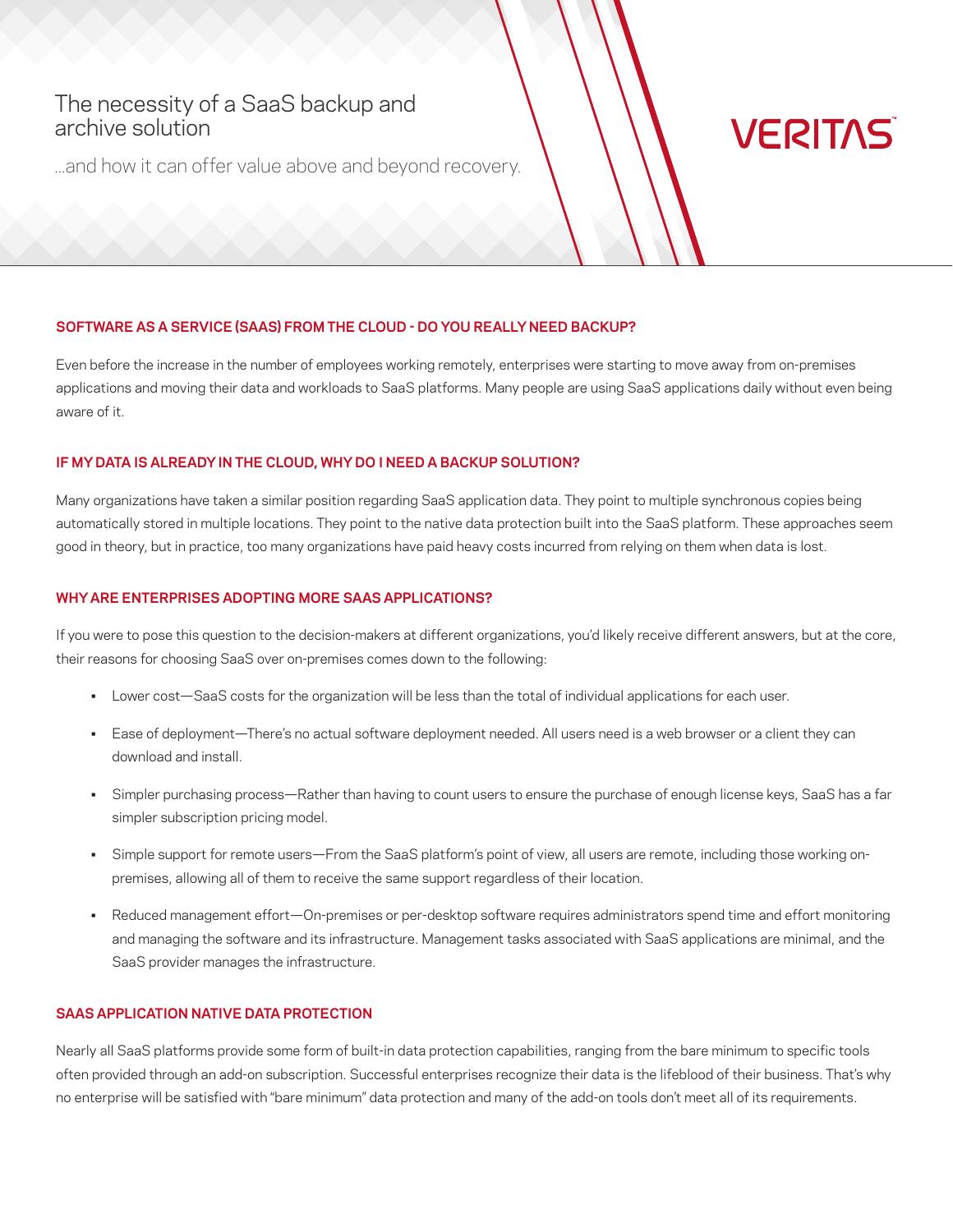## The necessity of a SaaS backup and  $A = 0.777$  approach to protection-centric approach to protection-centric approach to protection-centric approach to protection-centric approach of  $A = 0.777$  and  $A = 0.777$  and  $A = 0.777$  and  $A = 0.777$  and  $A = 0.777$  and archive solution

...and how it can offer value above and beyond recovery.

# **VERITAS**

## **SOFTWARE AS A SERVICE (SAAS) FROM THE CLOUD - DO YOU REALLY NEED BACKUP?**

Even before the increase in the number of employees working remotely, enterprises were starting to move away from on-premises applications and moving their data and workloads to SaaS platforms. Many people are using SaaS applications daily without even being aware of it.

## **IF MY DATA IS ALREADY IN THE CLOUD, WHY DO I NEED A BACKUP SOLUTION?**

Many organizations have taken a similar position regarding SaaS application data. They point to multiple synchronous copies being automatically stored in multiple locations. They point to the native data protection built into the SaaS platform. These approaches seem good in theory, but in practice, too many organizations have paid heavy costs incurred from relying on them when data is lost.

## **WHY ARE ENTERPRISES ADOPTING MORE SAAS APPLICATIONS?**

If you were to pose this question to the decision-makers at different organizations, you'd likely receive different answers, but at the core, their reasons for choosing SaaS over on-premises comes down to the following:

- Lower cost—SaaS costs for the organization will be less than the total of individual applications for each user.
- Ease of deployment—There's no actual software deployment needed. All users need is a web browser or a client they can download and install.
- Simpler purchasing process—Rather than having to count users to ensure the purchase of enough license keys, SaaS has a far simpler subscription pricing model.
- Simple support for remote users—From the SaaS platform's point of view, all users are remote, including those working onpremises, allowing all of them to receive the same support regardless of their location.
- Reduced management effort—On-premises or per-desktop software requires administrators spend time and effort monitoring and managing the software and its infrastructure. Management tasks associated with SaaS applications are minimal, and the SaaS provider manages the infrastructure.

#### **SAAS APPLICATION NATIVE DATA PROTECTION**

Nearly all SaaS platforms provide some form of built-in data protection capabilities, ranging from the bare minimum to specific tools often provided through an add-on subscription. Successful enterprises recognize their data is the lifeblood of their business. That's why no enterprise will be satisfied with "bare minimum" data protection and many of the add-on tools don't meet all of its requirements.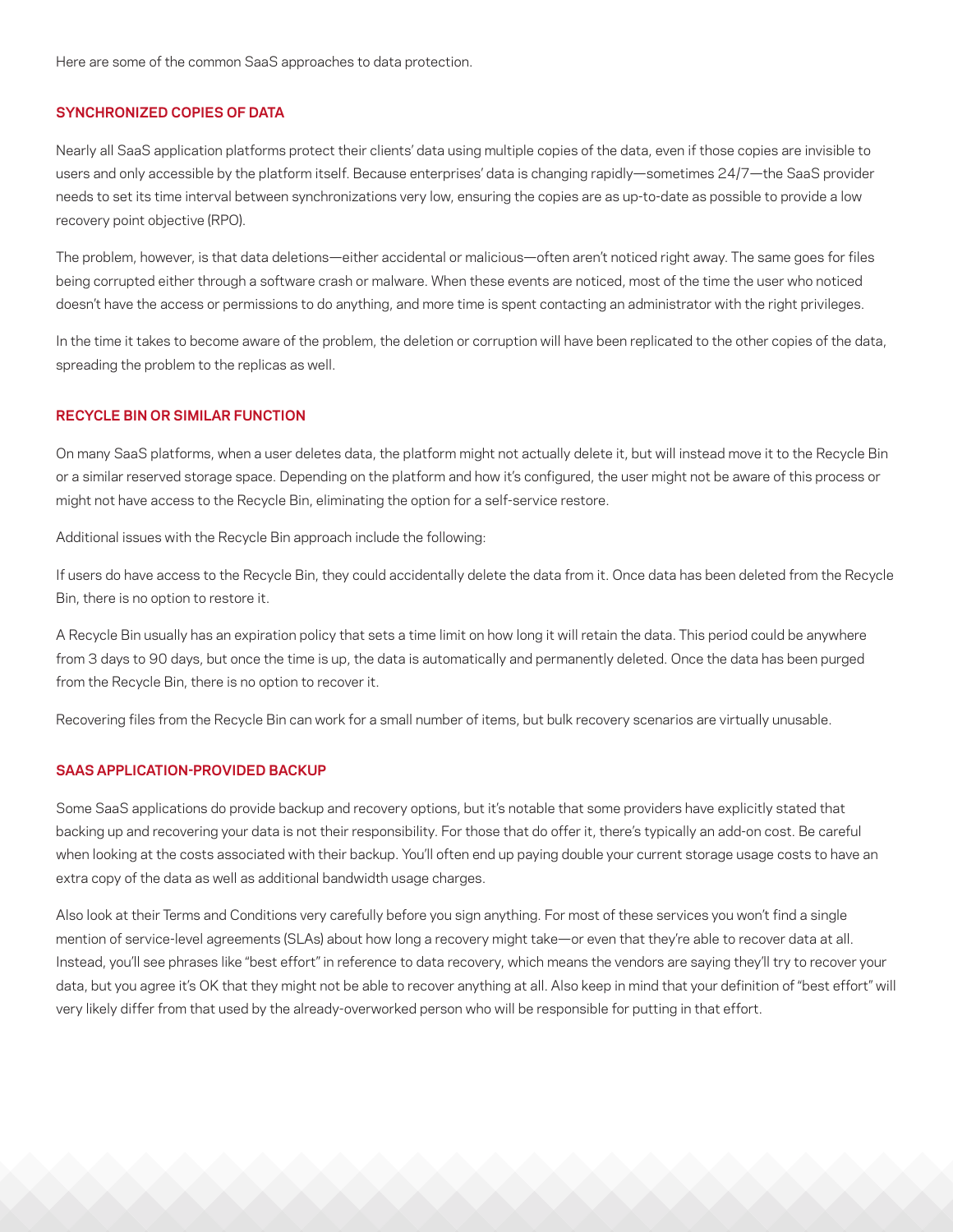Here are some of the common SaaS approaches to data protection.

#### **SYNCHRONIZED COPIES OF DATA**

Nearly all SaaS application platforms protect their clients' data using multiple copies of the data, even if those copies are invisible to users and only accessible by the platform itself. Because enterprises' data is changing rapidly—sometimes 24/7—the SaaS provider needs to set its time interval between synchronizations very low, ensuring the copies are as up-to-date as possible to provide a low recovery point objective (RPO).

The problem, however, is that data deletions—either accidental or malicious—often aren't noticed right away. The same goes for files being corrupted either through a software crash or malware. When these events are noticed, most of the time the user who noticed doesn't have the access or permissions to do anything, and more time is spent contacting an administrator with the right privileges.

In the time it takes to become aware of the problem, the deletion or corruption will have been replicated to the other copies of the data, spreading the problem to the replicas as well.

## **RECYCLE BIN OR SIMILAR FUNCTION**

On many SaaS platforms, when a user deletes data, the platform might not actually delete it, but will instead move it to the Recycle Bin or a similar reserved storage space. Depending on the platform and how it's configured, the user might not be aware of this process or might not have access to the Recycle Bin, eliminating the option for a self-service restore.

Additional issues with the Recycle Bin approach include the following:

If users do have access to the Recycle Bin, they could accidentally delete the data from it. Once data has been deleted from the Recycle Bin, there is no option to restore it.

A Recycle Bin usually has an expiration policy that sets a time limit on how long it will retain the data. This period could be anywhere from 3 days to 90 days, but once the time is up, the data is automatically and permanently deleted. Once the data has been purged from the Recycle Bin, there is no option to recover it.

Recovering files from the Recycle Bin can work for a small number of items, but bulk recovery scenarios are virtually unusable.

## **SAAS APPLICATION-PROVIDED BACKUP**

Some SaaS applications do provide backup and recovery options, but it's notable that some providers have explicitly stated that backing up and recovering your data is not their responsibility. For those that do offer it, there's typically an add-on cost. Be careful when looking at the costs associated with their backup. You'll often end up paying double your current storage usage costs to have an extra copy of the data as well as additional bandwidth usage charges.

Also look at their Terms and Conditions very carefully before you sign anything. For most of these services you won't find a single mention of service-level agreements (SLAs) about how long a recovery might take—or even that they're able to recover data at all. Instead, you'll see phrases like "best effort" in reference to data recovery, which means the vendors are saying they'll try to recover your data, but you agree it's OK that they might not be able to recover anything at all. Also keep in mind that your definition of "best effort" will very likely differ from that used by the already-overworked person who will be responsible for putting in that effort.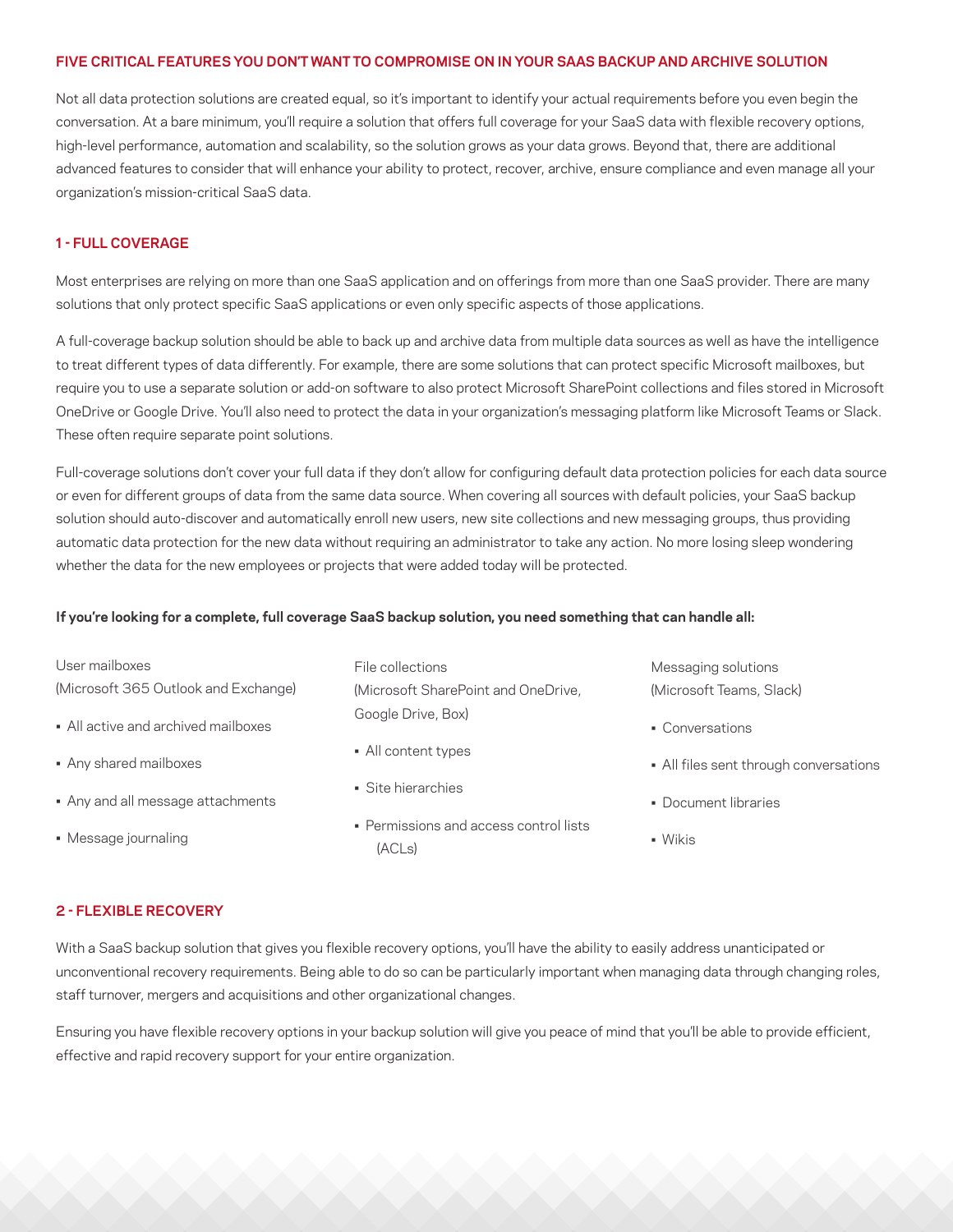#### **FIVE CRITICAL FEATURES YOU DON'T WANT TO COMPROMISE ON IN YOUR SAAS BACKUP AND ARCHIVE SOLUTION**

Not all data protection solutions are created equal, so it's important to identify your actual requirements before you even begin the conversation. At a bare minimum, you'll require a solution that offers full coverage for your SaaS data with flexible recovery options, high-level performance, automation and scalability, so the solution grows as your data grows. Beyond that, there are additional advanced features to consider that will enhance your ability to protect, recover, archive, ensure compliance and even manage all your organization's mission-critical SaaS data.

## **1 - FULL COVERAGE**

Most enterprises are relying on more than one SaaS application and on offerings from more than one SaaS provider. There are many solutions that only protect specific SaaS applications or even only specific aspects of those applications.

A full-coverage backup solution should be able to back up and archive data from multiple data sources as well as have the intelligence to treat different types of data differently. For example, there are some solutions that can protect specific Microsoft mailboxes, but require you to use a separate solution or add-on software to also protect Microsoft SharePoint collections and files stored in Microsoft OneDrive or Google Drive. You'll also need to protect the data in your organization's messaging platform like Microsoft Teams or Slack. These often require separate point solutions.

Full-coverage solutions don't cover your full data if they don't allow for configuring default data protection policies for each data source or even for different groups of data from the same data source. When covering all sources with default policies, your SaaS backup solution should auto-discover and automatically enroll new users, new site collections and new messaging groups, thus providing automatic data protection for the new data without requiring an administrator to take any action. No more losing sleep wondering whether the data for the new employees or projects that were added today will be protected.

#### **If you're looking for a complete, full coverage SaaS backup solution, you need something that can handle all:**

| User mailboxes                       | File collections                                 | Messaging solutions                    |
|--------------------------------------|--------------------------------------------------|----------------------------------------|
| (Microsoft 365 Outlook and Exchange) | (Microsoft SharePoint and OneDrive,              | (Microsoft Teams, Slack)               |
| • All active and archived mailboxes  | Google Drive, Box)                               | • Conversations                        |
| • Any shared mailboxes               | • All content types                              | • All files sent through conversations |
| • Any and all message attachments    | · Site hierarchies                               | • Document libraries                   |
| • Message journaling                 | • Permissions and access control lists<br>(ACLs) | $\blacksquare$ Wikis                   |

#### **2 - FLEXIBLE RECOVERY**

With a SaaS backup solution that gives you flexible recovery options, you'll have the ability to easily address unanticipated or unconventional recovery requirements. Being able to do so can be particularly important when managing data through changing roles, staff turnover, mergers and acquisitions and other organizational changes.

Ensuring you have flexible recovery options in your backup solution will give you peace of mind that you'll be able to provide efficient, effective and rapid recovery support for your entire organization.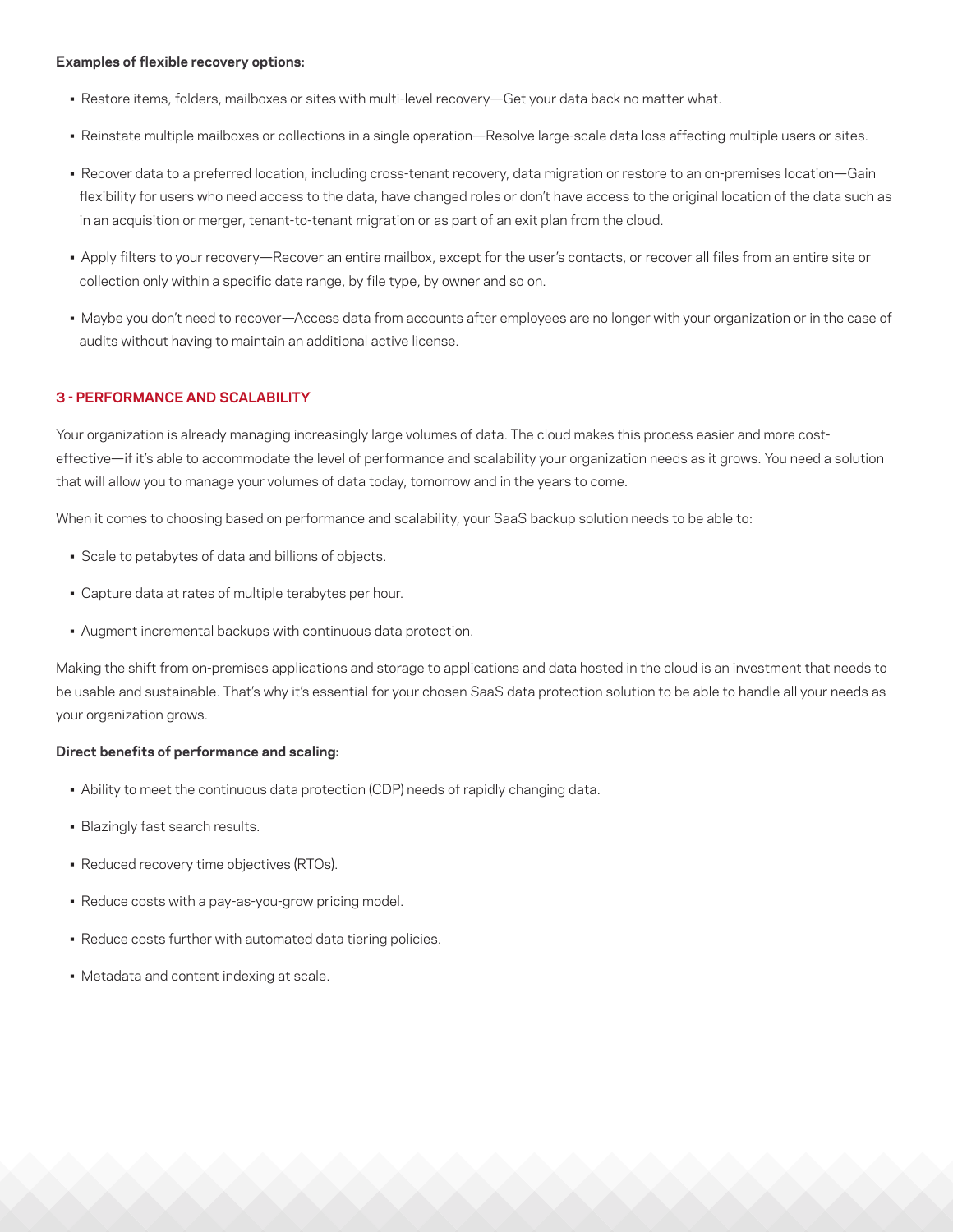#### **Examples of flexible recovery options:**

- Restore items, folders, mailboxes or sites with multi-level recovery—Get your data back no matter what.
- Reinstate multiple mailboxes or collections in a single operation—Resolve large-scale data loss affecting multiple users or sites.
- Recover data to a preferred location, including cross-tenant recovery, data migration or restore to an on-premises location—Gain flexibility for users who need access to the data, have changed roles or don't have access to the original location of the data such as in an acquisition or merger, tenant-to-tenant migration or as part of an exit plan from the cloud.
- Apply filters to your recovery—Recover an entire mailbox, except for the user's contacts, or recover all files from an entire site or collection only within a specific date range, by file type, by owner and so on.
- Maybe you don't need to recover—Access data from accounts after employees are no longer with your organization or in the case of audits without having to maintain an additional active license.

#### **3 - PERFORMANCE AND SCALABILITY**

Your organization is already managing increasingly large volumes of data. The cloud makes this process easier and more costeffective—if it's able to accommodate the level of performance and scalability your organization needs as it grows. You need a solution that will allow you to manage your volumes of data today, tomorrow and in the years to come.

When it comes to choosing based on performance and scalability, your SaaS backup solution needs to be able to:

- Scale to petabytes of data and billions of objects.
- Capture data at rates of multiple terabytes per hour.
- Augment incremental backups with continuous data protection.

Making the shift from on-premises applications and storage to applications and data hosted in the cloud is an investment that needs to be usable and sustainable. That's why it's essential for your chosen SaaS data protection solution to be able to handle all your needs as your organization grows.

#### **Direct benefits of performance and scaling:**

- Ability to meet the continuous data protection (CDP) needs of rapidly changing data.
- Blazingly fast search results.
- Reduced recovery time objectives (RTOs).
- Reduce costs with a pay-as-you-grow pricing model.
- Reduce costs further with automated data tiering policies.
- Metadata and content indexing at scale.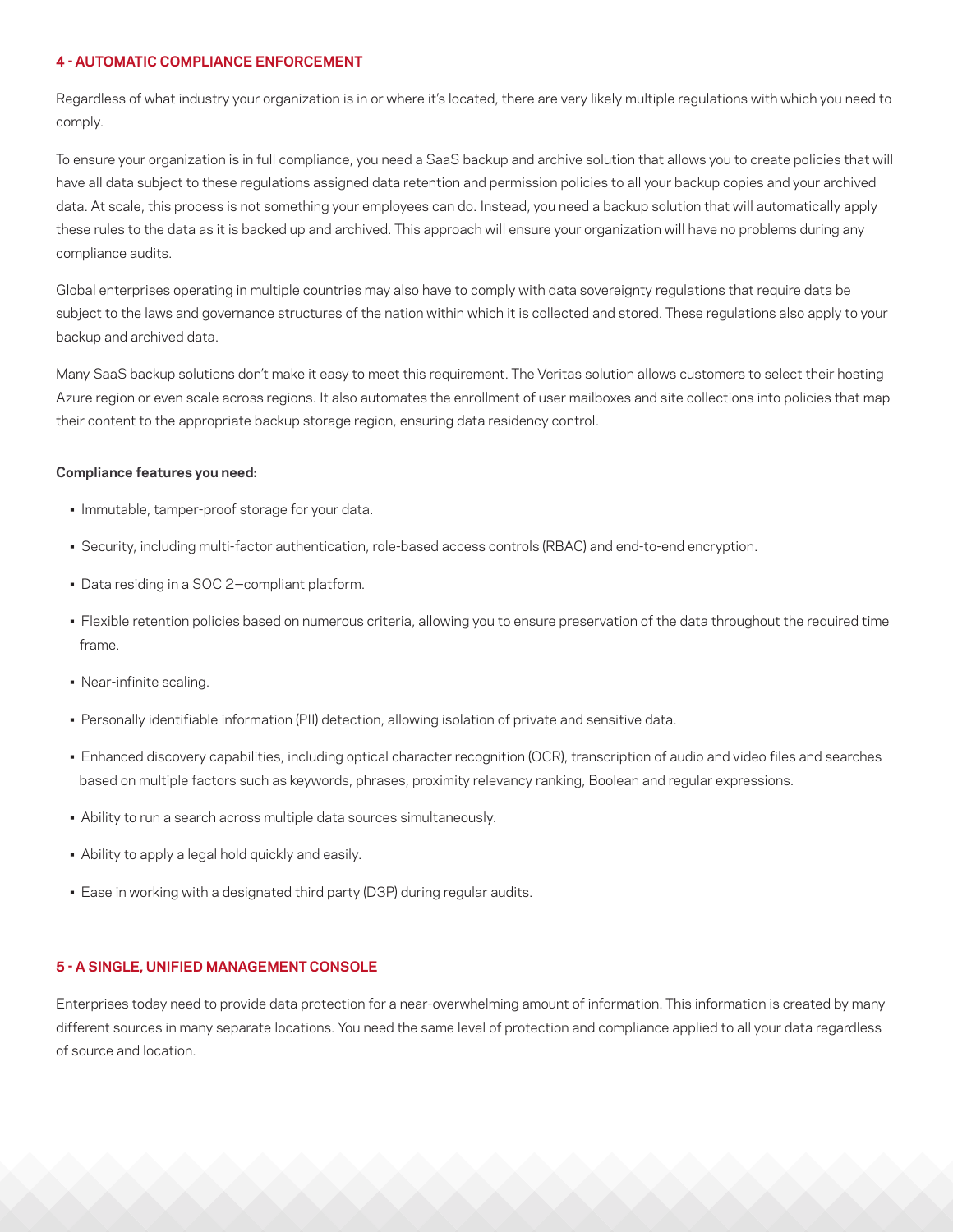## **4 - AUTOMATIC COMPLIANCE ENFORCEMENT**

Regardless of what industry your organization is in or where it's located, there are very likely multiple regulations with which you need to comply.

To ensure your organization is in full compliance, you need a SaaS backup and archive solution that allows you to create policies that will have all data subject to these regulations assigned data retention and permission policies to all your backup copies and your archived data. At scale, this process is not something your employees can do. Instead, you need a backup solution that will automatically apply these rules to the data as it is backed up and archived. This approach will ensure your organization will have no problems during any compliance audits.

Global enterprises operating in multiple countries may also have to comply with data sovereignty regulations that require data be subject to the laws and governance structures of the nation within which it is collected and stored. These regulations also apply to your backup and archived data.

Many SaaS backup solutions don't make it easy to meet this requirement. The Veritas solution allows customers to select their hosting Azure region or even scale across regions. It also automates the enrollment of user mailboxes and site collections into policies that map their content to the appropriate backup storage region, ensuring data residency control.

#### **Compliance features you need:**

- Immutable, tamper-proof storage for your data.
- Security, including multi-factor authentication, role-based access controls (RBAC) and end-to-end encryption.
- Data residing in a SOC 2-compliant platform.
- Flexible retention policies based on numerous criteria, allowing you to ensure preservation of the data throughout the required time frame.
- Near-infinite scaling.
- Personally identifiable information (PII) detection, allowing isolation of private and sensitive data.
- Enhanced discovery capabilities, including optical character recognition (OCR), transcription of audio and video files and searches based on multiple factors such as keywords, phrases, proximity relevancy ranking, Boolean and regular expressions.
- Ability to run a search across multiple data sources simultaneously.
- Ability to apply a legal hold quickly and easily.
- Ease in working with a designated third party (D3P) during regular audits.

## **5 - A SINGLE, UNIFIED MANAGEMENT CONSOLE**

Enterprises today need to provide data protection for a near-overwhelming amount of information. This information is created by many different sources in many separate locations. You need the same level of protection and compliance applied to all your data regardless of source and location.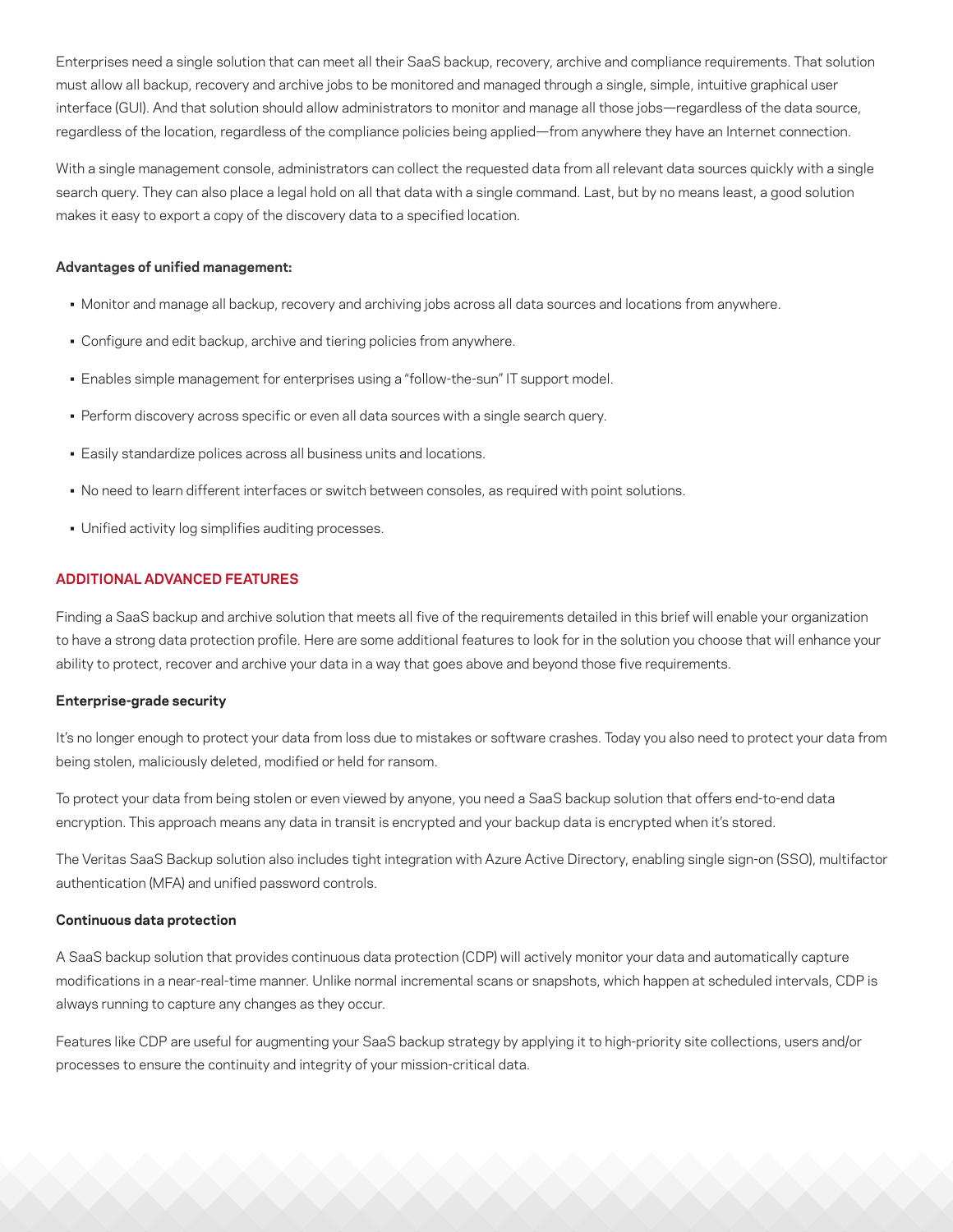Enterprises need a single solution that can meet all their SaaS backup, recovery, archive and compliance requirements. That solution must allow all backup, recovery and archive jobs to be monitored and managed through a single, simple, intuitive graphical user interface (GUI). And that solution should allow administrators to monitor and manage all those jobs—regardless of the data source, regardless of the location, regardless of the compliance policies being applied—from anywhere they have an Internet connection.

With a single management console, administrators can collect the requested data from all relevant data sources quickly with a single search query. They can also place a legal hold on all that data with a single command. Last, but by no means least, a good solution makes it easy to export a copy of the discovery data to a specified location.

#### **Advantages of unified management:**

- Monitor and manage all backup, recovery and archiving jobs across all data sources and locations from anywhere.
- Configure and edit backup, archive and tiering policies from anywhere.
- Enables simple management for enterprises using a "follow-the-sun" IT support model.
- Perform discovery across specific or even all data sources with a single search query.
- Easily standardize polices across all business units and locations.
- No need to learn different interfaces or switch between consoles, as required with point solutions.
- Unified activity log simplifies auditing processes.

## **ADDITIONAL ADVANCED FEATURES**

Finding a SaaS backup and archive solution that meets all five of the requirements detailed in this brief will enable your organization to have a strong data protection profile. Here are some additional features to look for in the solution you choose that will enhance your ability to protect, recover and archive your data in a way that goes above and beyond those five requirements.

#### **Enterprise-grade security**

It's no longer enough to protect your data from loss due to mistakes or software crashes. Today you also need to protect your data from being stolen, maliciously deleted, modified or held for ransom.

To protect your data from being stolen or even viewed by anyone, you need a SaaS backup solution that offers end-to-end data encryption. This approach means any data in transit is encrypted and your backup data is encrypted when it's stored.

The Veritas SaaS Backup solution also includes tight integration with Azure Active Directory, enabling single sign-on (SSO), multifactor authentication (MFA) and unified password controls.

## **Continuous data protection**

A SaaS backup solution that provides continuous data protection (CDP) will actively monitor your data and automatically capture modifications in a near-real-time manner. Unlike normal incremental scans or snapshots, which happen at scheduled intervals, CDP is always running to capture any changes as they occur.

Features like CDP are useful for augmenting your SaaS backup strategy by applying it to high-priority site collections, users and/or processes to ensure the continuity and integrity of your mission-critical data.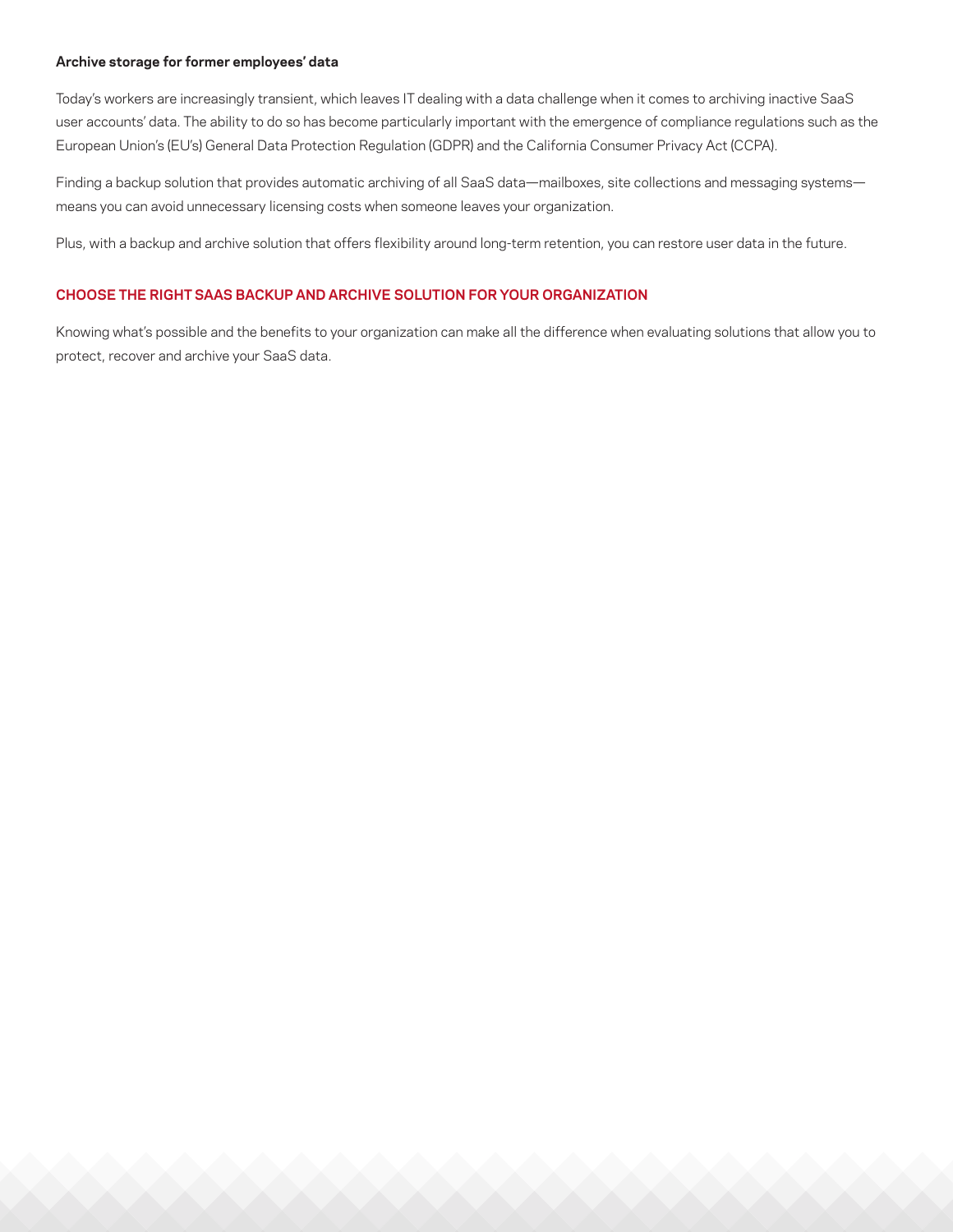#### **Archive storage for former employees' data**

Today's workers are increasingly transient, which leaves IT dealing with a data challenge when it comes to archiving inactive SaaS user accounts' data. The ability to do so has become particularly important with the emergence of compliance regulations such as the European Union's (EU's) General Data Protection Regulation (GDPR) and the California Consumer Privacy Act (CCPA).

Finding a backup solution that provides automatic archiving of all SaaS data—mailboxes, site collections and messaging systems means you can avoid unnecessary licensing costs when someone leaves your organization.

Plus, with a backup and archive solution that offers flexibility around long-term retention, you can restore user data in the future.

## **CHOOSE THE RIGHT SAAS BACKUP AND ARCHIVE SOLUTION FOR YOUR ORGANIZATION**

Knowing what's possible and the benefits to your organization can make all the difference when evaluating solutions that allow you to protect, recover and archive your SaaS data.